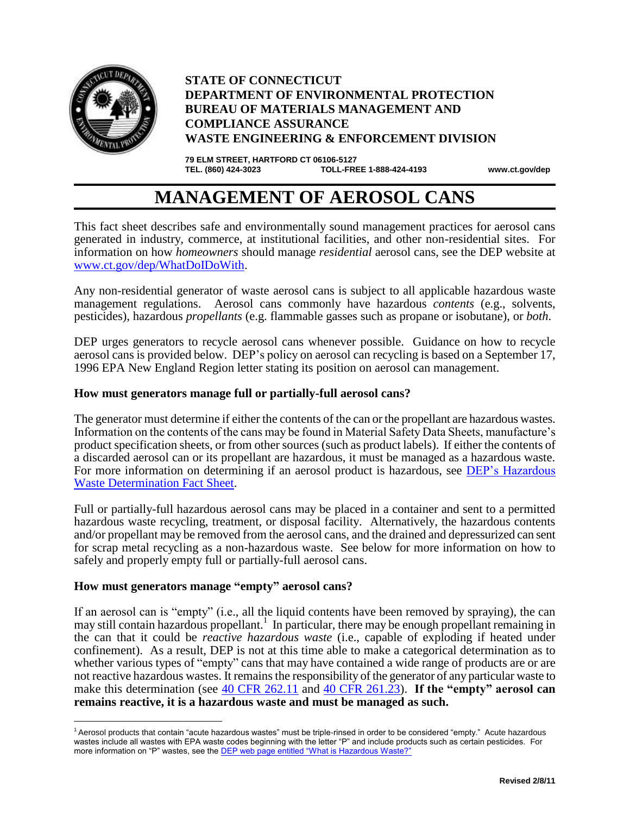

L,

## **STATE OF CONNECTICUT DEPARTMENT OF ENVIRONMENTAL PROTECTION BUREAU OF MATERIALS MANAGEMENT AND COMPLIANCE ASSURANCE WASTE ENGINEERING & ENFORCEMENT DIVISION**

**79 ELM STREET, HARTFORD CT 06106-5127 TEL. (860) 424-3023 TOLL-FREE 1-888-424-4193 www.ct.gov/dep**

# **MANAGEMENT OF AEROSOL CANS**

This fact sheet describes safe and environmentally sound management practices for aerosol cans generated in industry, commerce, at institutional facilities, and other non-residential sites. For information on how *homeowners* should manage *residential* aerosol cans, see the DEP website at [www.ct.gov/dep/WhatDoIDoWith.](http://www.ct.gov/dep/WhatDoIDoWith)

Any non-residential generator of waste aerosol cans is subject to all applicable hazardous waste management regulations. Aerosol cans commonly have hazardous *contents* (e.g., solvents, pesticides), hazardous *propellants* (e.g. flammable gasses such as propane or isobutane), or *both*.

DEP urges generators to recycle aerosol cans whenever possible. Guidance on how to recycle aerosol cans is provided below. DEP's policy on aerosol can recycling is based on a September 17, 1996 EPA New England Region letter stating its position on aerosol can management.

### **How must generators manage full or partially-full aerosol cans?**

The generator must determine if either the contents of the can or the propellant are hazardous wastes. Information on the contents of the cans may be found in Material Safety Data Sheets, manufacture's product specification sheets, or from other sources (such as product labels). If either the contents of a discarded aerosol can or its propellant are hazardous, it must be managed as a hazardous waste. For more information on determining if an aerosol product is hazardous, see [DEP's Hazardous](http://www.ct.gov/dep/cwp/view.asp?a=2718&q=325422&depNav_GID=1967)  [Waste Determination Fact Sheet.](http://www.ct.gov/dep/cwp/view.asp?a=2718&q=325422&depNav_GID=1967)

Full or partially-full hazardous aerosol cans may be placed in a container and sent to a permitted hazardous waste recycling, treatment, or disposal facility. Alternatively, the hazardous contents and/or propellant may be removed from the aerosol cans, and the drained and depressurized can sent for scrap metal recycling as a non-hazardous waste. See below for more information on how to safely and properly empty full or partially-full aerosol cans.

#### **How must generators manage "empty" aerosol cans?**

If an aerosol can is "empty" (i.e., all the liquid contents have been removed by spraying), the can may still contain hazardous propellant.<sup>1</sup> In particular, there may be enough propellant remaining in the can that it could be *reactive hazardous waste* (i.e., capable of exploding if heated under confinement). As a result, DEP is not at this time able to make a categorical determination as to whether various types of "empty" cans that may have contained a wide range of products are or are not reactive hazardous wastes. It remains the responsibility of the generator of any particular waste to make this determination (see  $\underline{40}$  CFR 262.11 and  $\underline{40}$  CFR 261.23). **If the "empty" aerosol can remains reactive, it is a hazardous waste and must be managed as such.**

<sup>1</sup> Aerosol products that contain "acute hazardous wastes" must be triple-rinsed in order to be considered "empty." Acute hazardous wastes include all wastes with EPA waste codes beginning with the letter "P" and include products such as certain pesticides. For more information on "P" wastes, see the **DEP** web page entitled "What is Hazardous Waste?"